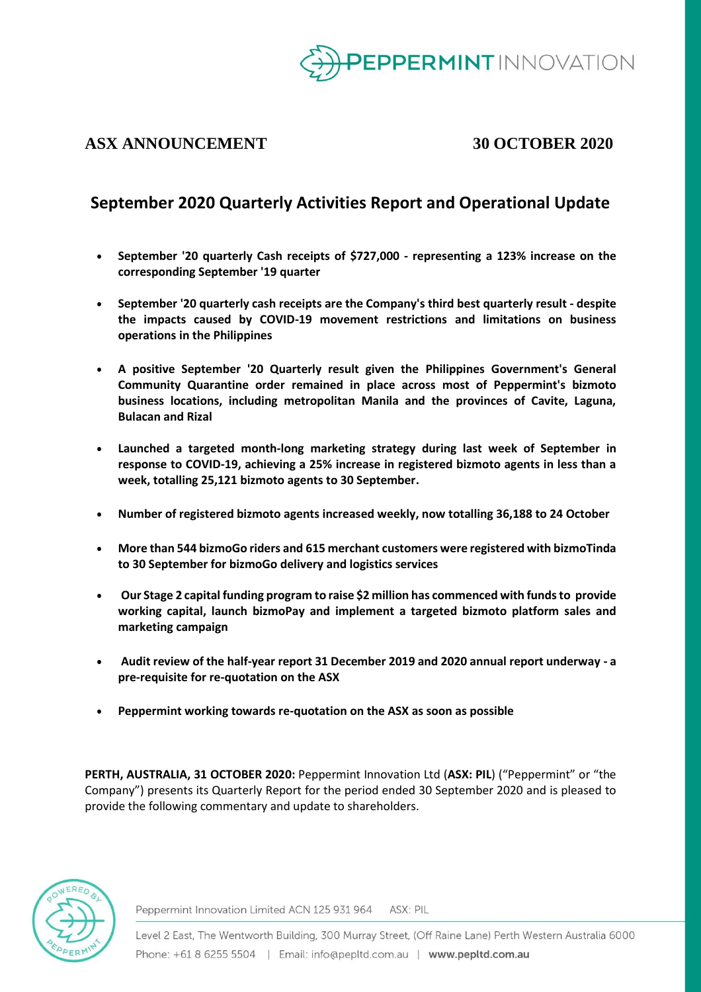

## **ASX ANNOUNCEMENT 30 OCTOBER 2020**

## **September 2020 Quarterly Activities Report and Operational Update**

- **September '20 quarterly Cash receipts of \$727,000 - representing a 123% increase on the corresponding September '19 quarter**
- **September '20 quarterly cash receipts are the Company's third best quarterly result - despite the impacts caused by COVID-19 movement restrictions and limitations on business operations in the Philippines**
- **A positive September '20 Quarterly result given the Philippines Government's General Community Quarantine order remained in place across most of Peppermint's bizmoto business locations, including metropolitan Manila and the provinces of Cavite, Laguna, Bulacan and Rizal**
- **Launched a targeted month-long marketing strategy during last week of September in response to COVID-19, achieving a 25% increase in registered bizmoto agents in less than a week, totalling 25,121 bizmoto agents to 30 September.**
- **Number of registered bizmoto agents increased weekly, now totalling 36,188 to 24 October**
- **More than 544 bizmoGo riders and 615 merchant customers were registered with bizmoTinda to 30 September for bizmoGo delivery and logistics services**
- **Our Stage 2 capital funding program to raise \$2 million has commenced with funds to provide working capital, launch bizmoPay and implement a targeted bizmoto platform sales and marketing campaign**
- **Audit review of the half-year report 31 December 2019 and 2020 annual report underway - a pre-requisite for re-quotation on the ASX**
- **Peppermint working towards re-quotation on the ASX as soon as possible**

**PERTH, AUSTRALIA, 31 OCTOBER 2020:** Peppermint Innovation Ltd (**ASX: PIL**) ("Peppermint" or "the Company") presents its Quarterly Report for the period ended 30 September 2020 and is pleased to provide the following commentary and update to shareholders.



Peppermint Innovation Limited ACN 125 931 964 ASX: PIL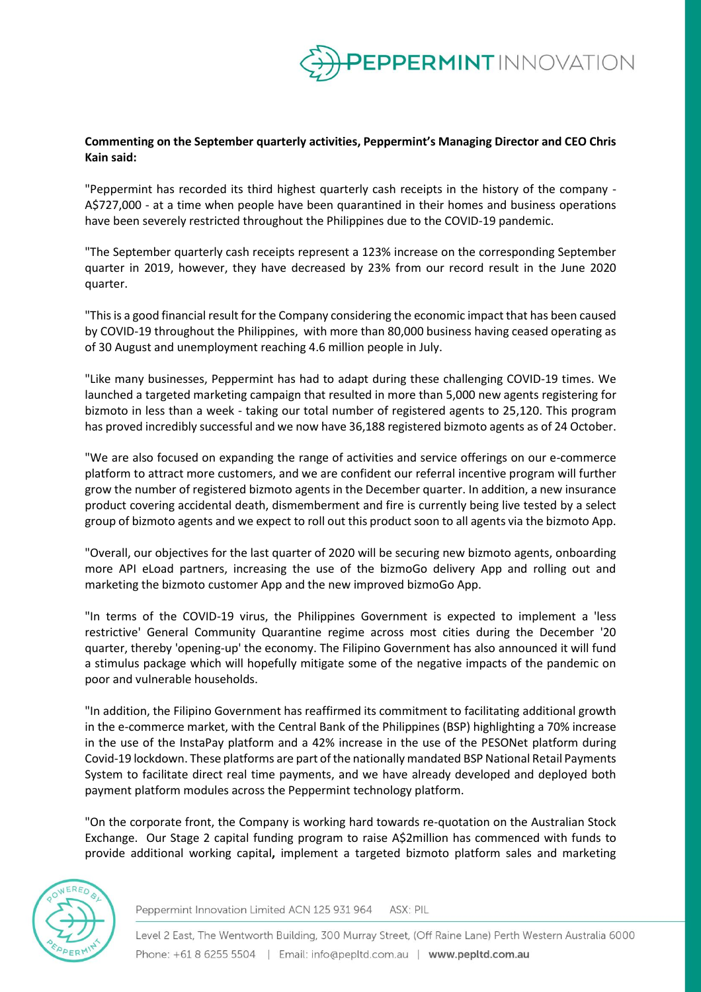

#### **Commenting on the September quarterly activities, Peppermint's Managing Director and CEO Chris Kain said:**

"Peppermint has recorded its third highest quarterly cash receipts in the history of the company - A\$727,000 - at a time when people have been quarantined in their homes and business operations have been severely restricted throughout the Philippines due to the COVID-19 pandemic.

"The September quarterly cash receipts represent a 123% increase on the corresponding September quarter in 2019, however, they have decreased by 23% from our record result in the June 2020 quarter.

"This is a good financial result for the Company considering the economic impact that has been caused by COVID-19 throughout the Philippines, with more than 80,000 business having ceased operating as of 30 August and unemployment reaching 4.6 million people in July.

"Like many businesses, Peppermint has had to adapt during these challenging COVID-19 times. We launched a targeted marketing campaign that resulted in more than 5,000 new agents registering for bizmoto in less than a week - taking our total number of registered agents to 25,120. This program has proved incredibly successful and we now have 36,188 registered bizmoto agents as of 24 October.

"We are also focused on expanding the range of activities and service offerings on our e-commerce platform to attract more customers, and we are confident our referral incentive program will further grow the number of registered bizmoto agents in the December quarter. In addition, a new insurance product covering accidental death, dismemberment and fire is currently being live tested by a select group of bizmoto agents and we expect to roll out this product soon to all agents via the bizmoto App.

"Overall, our objectives for the last quarter of 2020 will be securing new bizmoto agents, onboarding more API eLoad partners, increasing the use of the bizmoGo delivery App and rolling out and marketing the bizmoto customer App and the new improved bizmoGo App.

"In terms of the COVID-19 virus, the Philippines Government is expected to implement a 'less restrictive' General Community Quarantine regime across most cities during the December '20 quarter, thereby 'opening-up' the economy. The Filipino Government has also announced it will fund a stimulus package which will hopefully mitigate some of the negative impacts of the pandemic on poor and vulnerable households.

"In addition, the Filipino Government has reaffirmed its commitment to facilitating additional growth in the e-commerce market, with the Central Bank of the Philippines (BSP) highlighting a 70% increase in the use of the InstaPay platform and a 42% increase in the use of the PESONet platform during Covid-19 lockdown. These platforms are part of the nationally mandated BSP National Retail Payments System to facilitate direct real time payments, and we have already developed and deployed both payment platform modules across the Peppermint technology platform.

"On the corporate front, the Company is working hard towards re-quotation on the Australian Stock Exchange. Our Stage 2 capital funding program to raise A\$2million has commenced with funds to provide additional working capital**,** implement a targeted bizmoto platform sales and marketing



Peppermint Innovation Limited ACN 125 931 964 ASX: PIL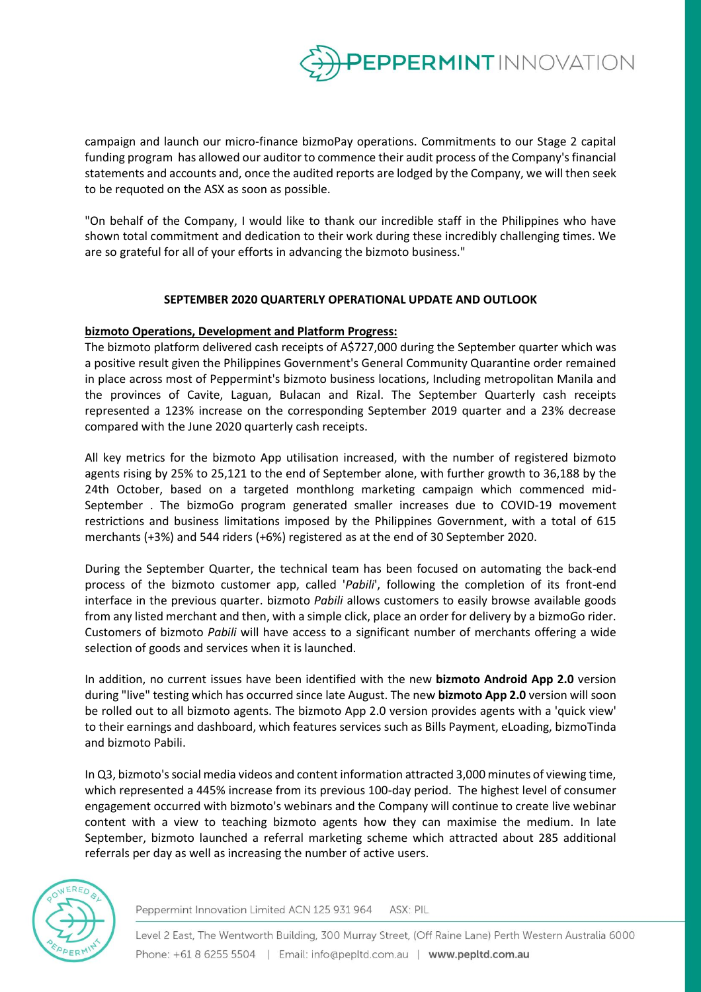

campaign and launch our micro-finance bizmoPay operations. Commitments to our Stage 2 capital funding program has allowed our auditor to commence their audit process of the Company's financial statements and accounts and, once the audited reports are lodged by the Company, we will then seek to be requoted on the ASX as soon as possible.

"On behalf of the Company, I would like to thank our incredible staff in the Philippines who have shown total commitment and dedication to their work during these incredibly challenging times. We are so grateful for all of your efforts in advancing the bizmoto business."

#### **SEPTEMBER 2020 QUARTERLY OPERATIONAL UPDATE AND OUTLOOK**

#### **bizmoto Operations, Development and Platform Progress:**

The bizmoto platform delivered cash receipts of A\$727,000 during the September quarter which was a positive result given the Philippines Government's General Community Quarantine order remained in place across most of Peppermint's bizmoto business locations, Including metropolitan Manila and the provinces of Cavite, Laguan, Bulacan and Rizal. The September Quarterly cash receipts represented a 123% increase on the corresponding September 2019 quarter and a 23% decrease compared with the June 2020 quarterly cash receipts.

All key metrics for the bizmoto App utilisation increased, with the number of registered bizmoto agents rising by 25% to 25,121 to the end of September alone, with further growth to 36,188 by the 24th October, based on a targeted monthlong marketing campaign which commenced mid-September . The bizmoGo program generated smaller increases due to COVID-19 movement restrictions and business limitations imposed by the Philippines Government, with a total of 615 merchants (+3%) and 544 riders (+6%) registered as at the end of 30 September 2020.

During the September Quarter, the technical team has been focused on automating the back-end process of the bizmoto customer app, called '*Pabili*', following the completion of its front-end interface in the previous quarter. bizmoto *Pabili* allows customers to easily browse available goods from any listed merchant and then, with a simple click, place an order for delivery by a bizmoGo rider. Customers of bizmoto *Pabili* will have access to a significant number of merchants offering a wide selection of goods and services when it is launched.

In addition, no current issues have been identified with the new **bizmoto Android App 2.0** version during "live" testing which has occurred since late August. The new **bizmoto App 2.0** version will soon be rolled out to all bizmoto agents. The bizmoto App 2.0 version provides agents with a 'quick view' to their earnings and dashboard, which features services such as Bills Payment, eLoading, bizmoTinda and bizmoto Pabili.

In Q3, bizmoto's social media videos and content information attracted 3,000 minutes of viewing time, which represented a 445% increase from its previous 100-day period. The highest level of consumer engagement occurred with bizmoto's webinars and the Company will continue to create live webinar content with a view to teaching bizmoto agents how they can maximise the medium. In late September, bizmoto launched a referral marketing scheme which attracted about 285 additional referrals per day as well as increasing the number of active users.



Peppermint Innovation Limited ACN 125 931 964 ASX: PIL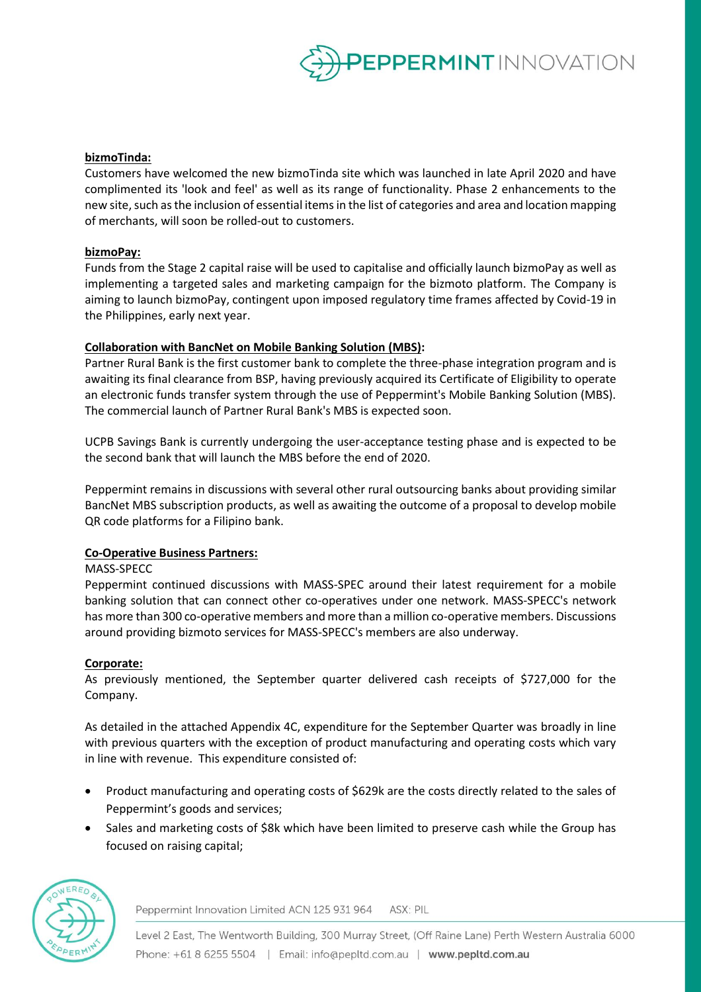

#### **bizmoTinda:**

Customers have welcomed the new bizmoTinda site which was launched in late April 2020 and have complimented its 'look and feel' as well as its range of functionality. Phase 2 enhancements to the new site, such as the inclusion of essential items in the list of categories and area and location mapping of merchants, will soon be rolled-out to customers.

#### **bizmoPay:**

Funds from the Stage 2 capital raise will be used to capitalise and officially launch bizmoPay as well as implementing a targeted sales and marketing campaign for the bizmoto platform. The Company is aiming to launch bizmoPay, contingent upon imposed regulatory time frames affected by Covid-19 in the Philippines, early next year.

#### **Collaboration with BancNet on Mobile Banking Solution (MBS):**

Partner Rural Bank is the first customer bank to complete the three-phase integration program and is awaiting its final clearance from BSP, having previously acquired its Certificate of Eligibility to operate an electronic funds transfer system through the use of Peppermint's Mobile Banking Solution (MBS). The commercial launch of Partner Rural Bank's MBS is expected soon.

UCPB Savings Bank is currently undergoing the user-acceptance testing phase and is expected to be the second bank that will launch the MBS before the end of 2020.

Peppermint remains in discussions with several other rural outsourcing banks about providing similar BancNet MBS subscription products, as well as awaiting the outcome of a proposal to develop mobile QR code platforms for a Filipino bank.

#### **Co-Operative Business Partners:**

#### MASS-SPECC

Peppermint continued discussions with MASS-SPEC around their latest requirement for a mobile banking solution that can connect other co-operatives under one network. MASS-SPECC's network has more than 300 co-operative members and more than a million co-operative members. Discussions around providing bizmoto services for MASS-SPECC's members are also underway.

#### **Corporate:**

As previously mentioned, the September quarter delivered cash receipts of \$727,000 for the Company.

As detailed in the attached Appendix 4C, expenditure for the September Quarter was broadly in line with previous quarters with the exception of product manufacturing and operating costs which vary in line with revenue. This expenditure consisted of:

- Product manufacturing and operating costs of \$629k are the costs directly related to the sales of Peppermint's goods and services;
- Sales and marketing costs of \$8k which have been limited to preserve cash while the Group has focused on raising capital;



Peppermint Innovation Limited ACN 125 931 964 ASX: PIL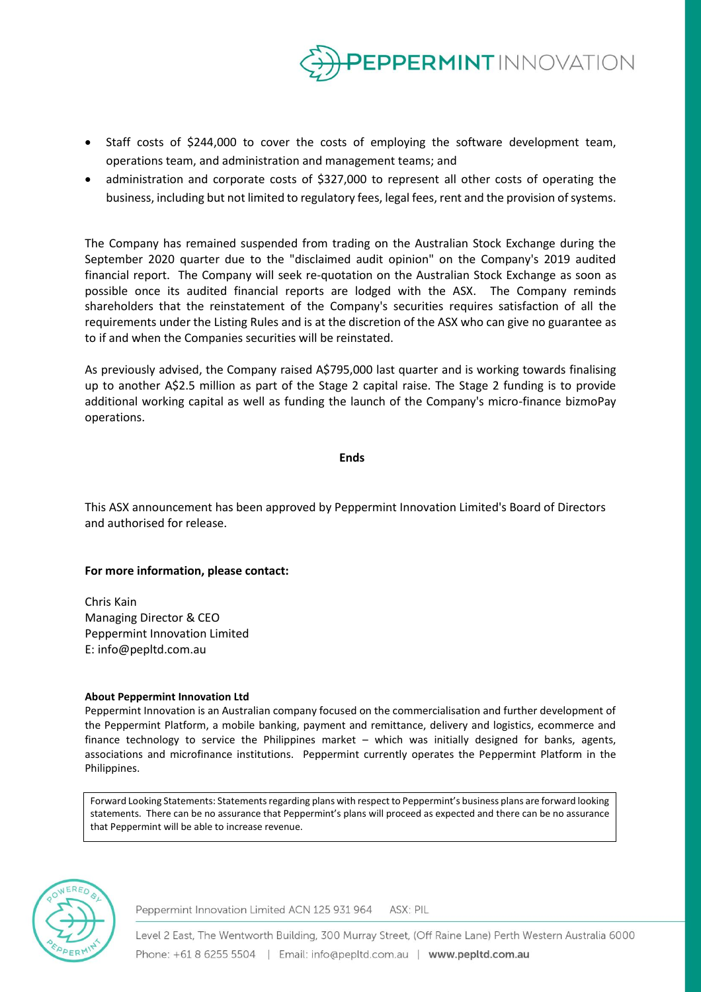

- Staff costs of \$244,000 to cover the costs of employing the software development team, operations team, and administration and management teams; and
- administration and corporate costs of \$327,000 to represent all other costs of operating the business, including but not limited to regulatory fees, legal fees, rent and the provision of systems.

The Company has remained suspended from trading on the Australian Stock Exchange during the September 2020 quarter due to the "disclaimed audit opinion" on the Company's 2019 audited financial report. The Company will seek re-quotation on the Australian Stock Exchange as soon as possible once its audited financial reports are lodged with the ASX. The Company reminds shareholders that the reinstatement of the Company's securities requires satisfaction of all the requirements under the Listing Rules and is at the discretion of the ASX who can give no guarantee as to if and when the Companies securities will be reinstated.

As previously advised, the Company raised A\$795,000 last quarter and is working towards finalising up to another A\$2.5 million as part of the Stage 2 capital raise. The Stage 2 funding is to provide additional working capital as well as funding the launch of the Company's micro-finance bizmoPay operations.

**Ends**

This ASX announcement has been approved by Peppermint Innovation Limited's Board of Directors and authorised for release.

#### **For more information, please contact:**

Chris Kain Managing Director & CEO Peppermint Innovation Limited E: info@pepltd.com.au

#### **About Peppermint Innovation Ltd**

Peppermint Innovation is an Australian company focused on the commercialisation and further development of the Peppermint Platform, a mobile banking, payment and remittance, delivery and logistics, ecommerce and finance technology to service the Philippines market – which was initially designed for banks, agents, associations and microfinance institutions. Peppermint currently operates the Peppermint Platform in the Philippines.

Forward Looking Statements: Statements regarding plans with respect to Peppermint's business plans are forward looking statements. There can be no assurance that Peppermint's plans will proceed as expected and there can be no assurance that Peppermint will be able to increase revenue.



Peppermint Innovation Limited ACN 125 931 964 ASX: PIL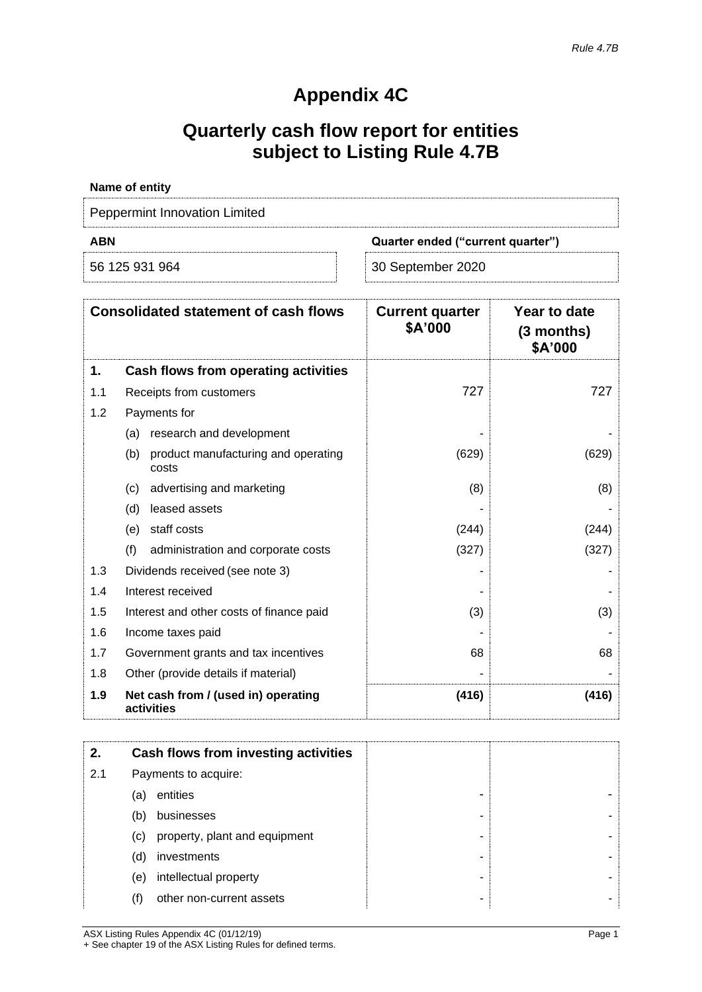# **Appendix 4C**

# **Quarterly cash flow report for entities subject to Listing Rule 4.7B**

| Name of entity                           |                   |  |
|------------------------------------------|-------------------|--|
| <b>Peppermint Innovation Limited</b>     |                   |  |
| ABN<br>Quarter ended ("current quarter") |                   |  |
| 56 125 931 964                           | 30 September 2020 |  |

|     | <b>Consolidated statement of cash flows</b>         | <b>Current quarter</b><br>\$A'000 | Year to date<br>$(3$ months)<br>\$A'000 |
|-----|-----------------------------------------------------|-----------------------------------|-----------------------------------------|
| 1.  | Cash flows from operating activities                |                                   |                                         |
| 1.1 | Receipts from customers                             | 727                               | 727                                     |
| 1.2 | Payments for                                        |                                   |                                         |
|     | research and development<br>(a)                     |                                   |                                         |
|     | product manufacturing and operating<br>(b)<br>costs | (629)                             | (629)                                   |
|     | advertising and marketing<br>(c)                    | (8)                               | (8)                                     |
|     | leased assets<br>(d)                                |                                   |                                         |
|     | staff costs<br>(e)                                  | (244)                             | (244)                                   |
|     | (f)<br>administration and corporate costs           | (327)                             | (327)                                   |
| 1.3 | Dividends received (see note 3)                     |                                   |                                         |
| 1.4 | Interest received                                   |                                   |                                         |
| 1.5 | Interest and other costs of finance paid            | (3)                               | (3)                                     |
| 1.6 | Income taxes paid                                   |                                   |                                         |
| 1.7 | Government grants and tax incentives                | 68                                | 68                                      |
| 1.8 | Other (provide details if material)                 |                                   |                                         |
| 1.9 | Net cash from / (used in) operating<br>activities   | (416)                             | (416)                                   |

| 2.  |     | Cash flows from investing activities |
|-----|-----|--------------------------------------|
| 2.1 |     | Payments to acquire:                 |
|     | (a) | entities                             |
|     | (b) | businesses                           |
|     | (c) | property, plant and equipment        |
|     | (d) | investments                          |
|     | (e) | intellectual property                |
|     | (f) | other non-current assets             |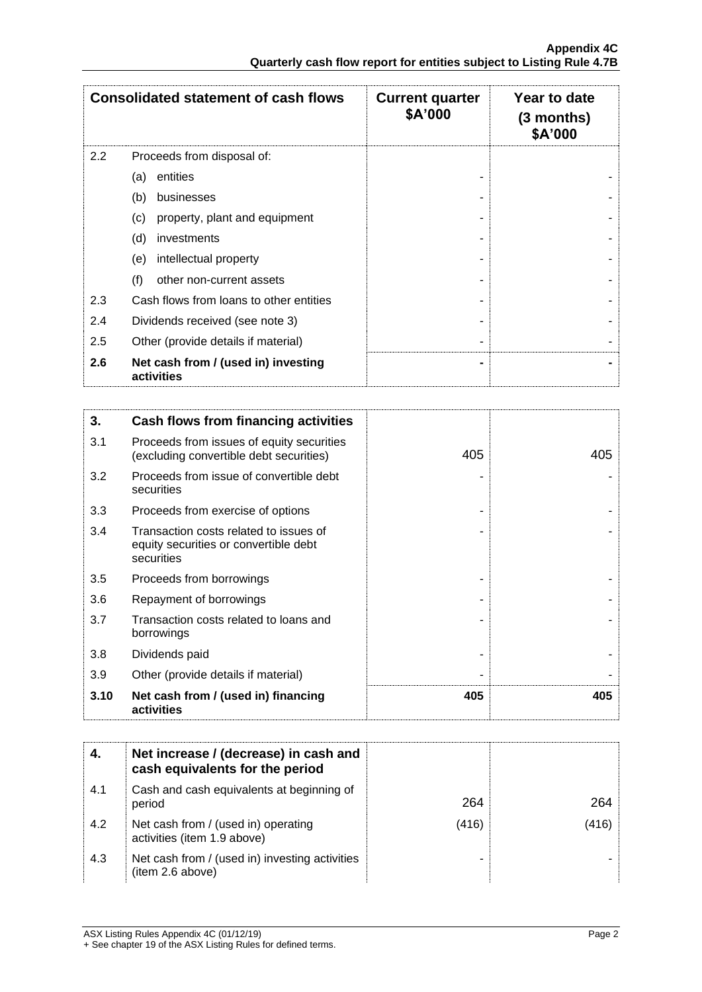|     | <b>Consolidated statement of cash flows</b>       | <b>Current quarter</b><br>\$A'000 | Year to date<br>$(3$ months)<br>\$A'000 |
|-----|---------------------------------------------------|-----------------------------------|-----------------------------------------|
| 2.2 | Proceeds from disposal of:                        |                                   |                                         |
|     | entities<br>(a)                                   |                                   |                                         |
|     | (b)<br>businesses                                 |                                   |                                         |
|     | property, plant and equipment<br>(c)              |                                   |                                         |
|     | (d)<br>investments                                |                                   |                                         |
|     | intellectual property<br>(e)                      |                                   |                                         |
|     | (f)<br>other non-current assets                   |                                   |                                         |
| 2.3 | Cash flows from loans to other entities           |                                   |                                         |
| 2.4 | Dividends received (see note 3)                   |                                   |                                         |
| 2.5 | Other (provide details if material)               |                                   |                                         |
| 2.6 | Net cash from / (used in) investing<br>activities |                                   |                                         |

| 3.   | Cash flows from financing activities                                                          |     |     |
|------|-----------------------------------------------------------------------------------------------|-----|-----|
| 3.1  | Proceeds from issues of equity securities<br>(excluding convertible debt securities)          | 405 | 405 |
| 3.2  | Proceeds from issue of convertible debt<br>securities                                         |     |     |
| 3.3  | Proceeds from exercise of options                                                             |     |     |
| 3.4  | Transaction costs related to issues of<br>equity securities or convertible debt<br>securities |     |     |
| 3.5  | Proceeds from borrowings                                                                      |     |     |
| 3.6  | Repayment of borrowings                                                                       |     |     |
| 3.7  | Transaction costs related to loans and<br>borrowings                                          |     |     |
| 3.8  | Dividends paid                                                                                |     |     |
| 3.9  | Other (provide details if material)                                                           |     |     |
| 3.10 | Net cash from / (used in) financing<br>activities                                             | 405 | 405 |

|     | Net increase / (decrease) in cash and<br>cash equivalents for the period |       |       |
|-----|--------------------------------------------------------------------------|-------|-------|
| 4.1 | Cash and cash equivalents at beginning of<br>period                      | 264   | 264   |
| 4.2 | Net cash from / (used in) operating<br>activities (item 1.9 above)       | (416) | (416) |
| 4.3 | Net cash from / (used in) investing activities<br>(item 2.6 above)       |       |       |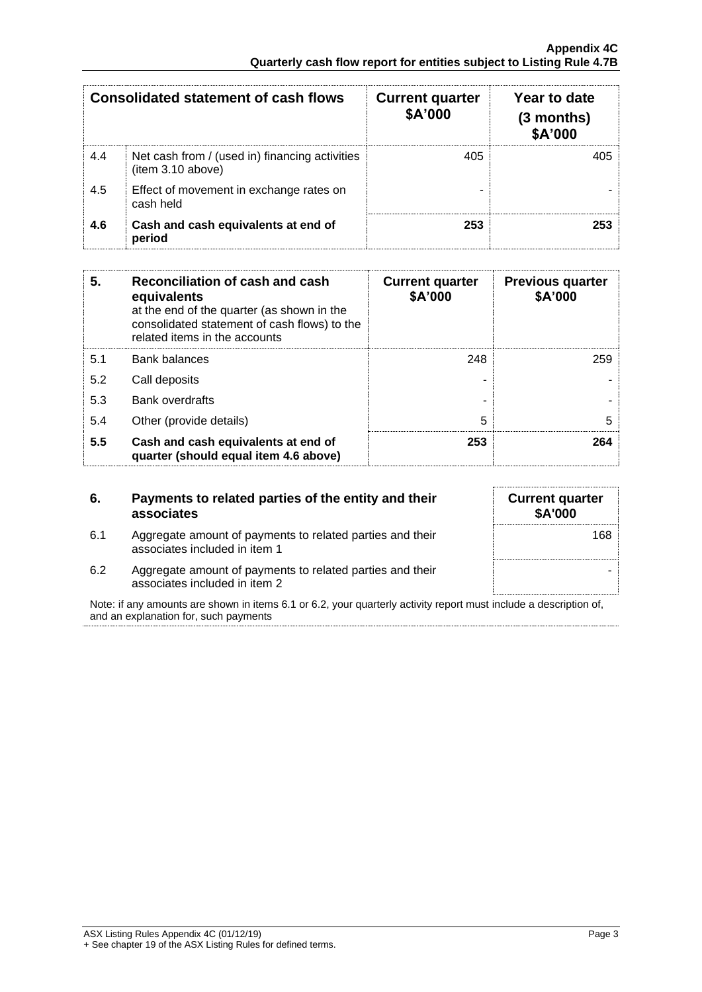|     | <b>Consolidated statement of cash flows</b>                         | <b>Current quarter</b><br>\$A'000 | Year to date<br>$(3$ months)<br>\$A'000 |
|-----|---------------------------------------------------------------------|-----------------------------------|-----------------------------------------|
| 4.4 | Net cash from / (used in) financing activities<br>(item 3.10 above) | 405                               | 405.                                    |
| 4.5 | Effect of movement in exchange rates on<br>cash held                |                                   |                                         |
| 4.6 | Cash and cash equivalents at end of<br>period                       | 253                               | 253                                     |

| 5.  | Reconciliation of cash and cash<br>equivalents<br>at the end of the quarter (as shown in the<br>consolidated statement of cash flows) to the<br>related items in the accounts | <b>Current quarter</b><br>\$A'000 | <b>Previous quarter</b><br>\$A'000 |
|-----|-------------------------------------------------------------------------------------------------------------------------------------------------------------------------------|-----------------------------------|------------------------------------|
| 5.1 | <b>Bank balances</b>                                                                                                                                                          | 248                               | 259                                |
| 5.2 | Call deposits                                                                                                                                                                 |                                   |                                    |
| 5.3 | <b>Bank overdrafts</b>                                                                                                                                                        |                                   |                                    |
| 5.4 | Other (provide details)                                                                                                                                                       | 5                                 | 5                                  |
| 5.5 | Cash and cash equivalents at end of<br>quarter (should equal item 4.6 above)                                                                                                  | 253                               | 264                                |

| 6.  | Payments to related parties of the entity and their<br>associates                          |
|-----|--------------------------------------------------------------------------------------------|
| 6.1 | Aggregate amount of payments to related parties and their<br>associates included in item 1 |

| <b>Current quarter</b><br>\$A'000 |
|-----------------------------------|
| 168                               |
|                                   |
|                                   |

6.2 Aggregate amount of payments to related parties and their associates included in item 2

Note: if any amounts are shown in items 6.1 or 6.2, your quarterly activity report must include a description of, and an explanation for, such payments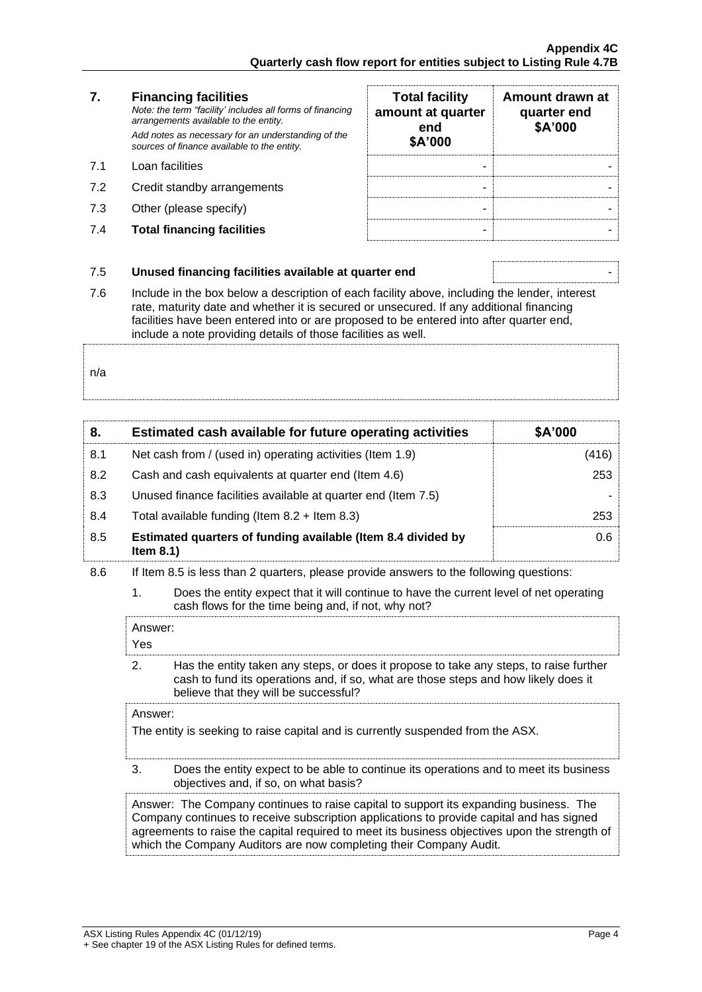### **7. Financing facilities** *Note: the term "facility' includes all forms of financing arrangements available to the entity. Add notes as necessary for an understanding of the sources of finance available to the entity.*

- 7.2 Credit standby arrangements
- 7.3 Other (please specify)
- **7.4 Total financing facilities**

| 7.  | <b>Financing facilities</b><br>Note: the term "facility' includes all forms of financing<br>arrangements available to the entity.<br>Add notes as necessary for an understanding of the<br>sources of finance available to the entity. | <b>Total facility</b><br>amount at quarter<br>end<br>\$A'000 | Amount drawn at<br>quarter end<br>\$A'000 |
|-----|----------------------------------------------------------------------------------------------------------------------------------------------------------------------------------------------------------------------------------------|--------------------------------------------------------------|-------------------------------------------|
| 71  | Loan facilities                                                                                                                                                                                                                        |                                                              |                                           |
| 7.2 | Credit standby arrangements                                                                                                                                                                                                            |                                                              |                                           |
| 7.3 | Other (please specify)                                                                                                                                                                                                                 |                                                              |                                           |
| 7.4 | <b>Total financing facilities</b>                                                                                                                                                                                                      |                                                              |                                           |

#### 7.5 **Unused financing facilities available at quarter end** -

7.6 Include in the box below a description of each facility above, including the lender, interest rate, maturity date and whether it is secured or unsecured. If any additional financing facilities have been entered into or are proposed to be entered into after quarter end, include a note providing details of those facilities as well.

n/a

| 8.  | Estimated cash available for future operating activities                     | \$A'000 |
|-----|------------------------------------------------------------------------------|---------|
| 8.1 | Net cash from / (used in) operating activities (Item 1.9)                    | (416)   |
| 8.2 | Cash and cash equivalents at quarter end (Item 4.6)                          | 253     |
| 8.3 | Unused finance facilities available at quarter end (Item 7.5)                |         |
| 8.4 | Total available funding (Item $8.2 +$ Item $8.3$ )                           | 253     |
| 8.5 | Estimated quarters of funding available (Item 8.4 divided by<br>Item $8.1$ ) | 0.6     |

- 8.6 If Item 8.5 is less than 2 quarters, please provide answers to the following questions:
	- 1. Does the entity expect that it will continue to have the current level of net operating cash flows for the time being and, if not, why not?

| Answer:<br>Yes |                                                                                                                                                                               |
|----------------|-------------------------------------------------------------------------------------------------------------------------------------------------------------------------------|
| 2.             | Has the entity taken any steps, or does it propose to take any steps, to raise further<br>cash to fund its operations and, if so, what are those steps and how likely does it |

believe that they will be successful?

#### Answer:

The entity is seeking to raise capital and is currently suspended from the ASX.

3. Does the entity expect to be able to continue its operations and to meet its business objectives and, if so, on what basis?

Answer: The Company continues to raise capital to support its expanding business. The Company continues to receive subscription applications to provide capital and has signed agreements to raise the capital required to meet its business objectives upon the strength of which the Company Auditors are now completing their Company Audit.